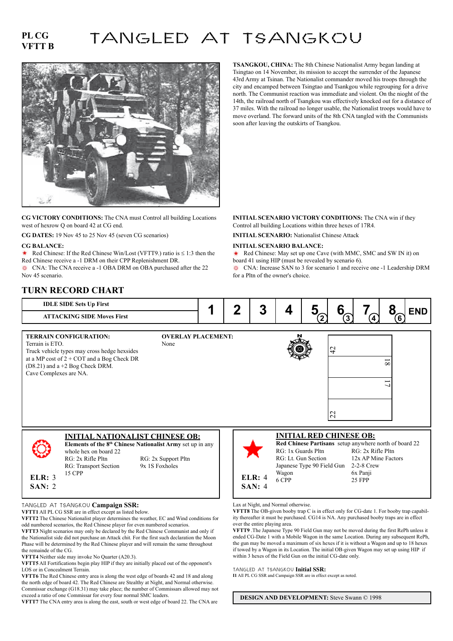## **PL CG VFTT B**

# TANGLED AT TSANGKOU



**CG VICTORY CONDITIONS:** The CNA must Control all building Locations west of hexrow Q on board 42 at CG end.

**CG DATES:** 19 Nov 45 to 25 Nov 45 (seven CG scenarios) **INITIAL SCENARIO:** Nationalist Chinese Attack

### **CG BALANCE:**

Red Chinese: If the Red Chinese Win/Lost (VFTT9.) ratio is  $\leq 1:3$  then the Red Chinese receive a -1 DRM on their CPP Replenishment DR.

CNA: The CNA receive a -1 OBA DRM on OBA purchased after the 22 Nov 45 scenario.

**IDLE SIDE Sets Up First TURN RECORD CHART**

**TSANGKOU, CHINA:** The 8th Chinese Nationalist Army began landing at Tsingtao on 14 November, its mission to accept the surrender of the Japanese 43rd Army at Tsinan. The Nationalist commander moved his troops through the city and encamped between Tsingtao and Tsankgou while regrouping for a drive north. The Communist reaction was immediate and violent. On the nioght of the 14th, the railroad north of Tsangkou was effectively knocked out for a distance of 37 miles. With the railroad no longer usable, the Nationalist troops would have to move overland. The forward units of the 8th CNA tangled with the Communists soon after leaving the outskirts of Tsangkou.

### **INITIAL SCENARIO VICTORY CONDITIONS:** The CNA win if they Control all building Locations within three hexes of 17R4.

#### **INITIAL SCENARIO BALANCE:**

Red Chinese: May set up one Cave (with MMC, SMC and SW IN it) on  $\ddot{\phantom{1}}$ board 41 using HIP (must be revealed by scenario 6). CNA: Increase SAN to 3 for scenario 1 and receive one -1 Leadership DRM

for a Pltn of the owner's choice.

#### **ATTACKING SIDE Moves First INITIAL NATIONALIST CHINESE OB: Elements of the 8<sup>th</sup> Chinese Nationalist Army** set up in any whole hex on board 22 RG: 2x Rifle Pltn RG: 2x Support Pltn<br>RG: Transport Section 9x 1S Foxholes RG: Transport Section 15 CPP  $\begin{array}{|c|c|c|c|c|}\n\hline\n\textbf{1} & \textbf{2} & \textbf{3} & \textbf{4} & \textbf{5} & \textbf{5} & \textbf{6} & \textbf{7} & \textbf{8} & \textbf{5} & \textbf{6} \\
\hline\n\end{array}$ **INITIAL RED CHINESE OB: Red Chinese Partisans** setup anywhere north of board 22 RG: 1x Guards Pltn RG: 2x Rifle Pltn<br>RG: 1t Gun Section 12x AP Mine Fact 12x AP Mine Factors Japanese Type 90 Field Gun 2-2-8 Crew Wagon 6x Panii 6 CPP 25 FPP **TERRAIN CONFIGURATION:** Terrain is ETO. Truck vehicle types may cross hedge hexsides at a MP cost of 2 + COT and a Bog Check DR (D8.21) and a +2 Bog Check DRM. Cave Complexes are NA. **OVERLAY PLACEMENT:** None **2 3 6 ELR:** 3 **SAN:** 2 **ELR:** 4 **SAN:** 4 22  $\overline{8}$  $\frac{4}{3}$  $\overline{1}$ **4**

TANGLED AT TSANGKOU **Campaign SSR:**

**VFTT1** All PL CG SSR are in effect except as listed below.

**VFTT2** The Chinese Nationalist player determines the weather, EC and Wind conditions for odd numbered scenarios, the Red Chinese player for even numbered scenarios.

**VFTT3** Night scenarios may only be declared by the Red Chinese Communist and only if the Nationalist side did not purchase an Attack chit. For the first such declaration the Moon Phase will be determined by the Red Chinese player and will remain the same throughout the remainde of the CG.

**VFTT4** Neither side may invoke No Quarter (A20.3).

**VFTT5** All Fortifications begin play HIP if they are initially placed out of the opponent's LOS or in Concealment Terrain.

**VFTT6** The Red Chinese entry area is along the west edge of boards 42 and 18 and along the north edge of board 42. The Red Chinese are Stealthy at Night, and Normal otherwise. Commissar exchange (G18.31) may take place; the number of Commissars allowed may not exceed a ratio of one Commissar for every four normal SMC leaders.

**VFTT7** The CNA entry area is along the east, south or west edge of board 22. The CNA are

Lax at Night, and Normal otherwise.

**VFTT8** The OB-given booby trap C is in effect only for CG-date 1. For booby trap capability thereafter it must be purchased. CG14 is NA. Any purchased booby traps are in effect over the entire playing area.

**VFTT9** .The Japanese Type 90 Field Gun may not be moved during the first RePh unless it ended CG-Date 1 with a Mobile Wagon in the same Location. During any subsequent RePh, the gun may be moved a maximum of six hexes if it is without a Wagon and up to 18 hexes if towed by a Wagon in its Location. The initial OB-given Wagon may set up using HIP if within 3 hexes of the Field Gun on the initial CG-date only.

#### TANGLED AT TSANGKOU **Initial SSR:**

**I1** All PL CG SSR and Campaign SSR are in effect except as noted.

**DESIGN AND DEVELOPMENT:** Steve Swann © 1998